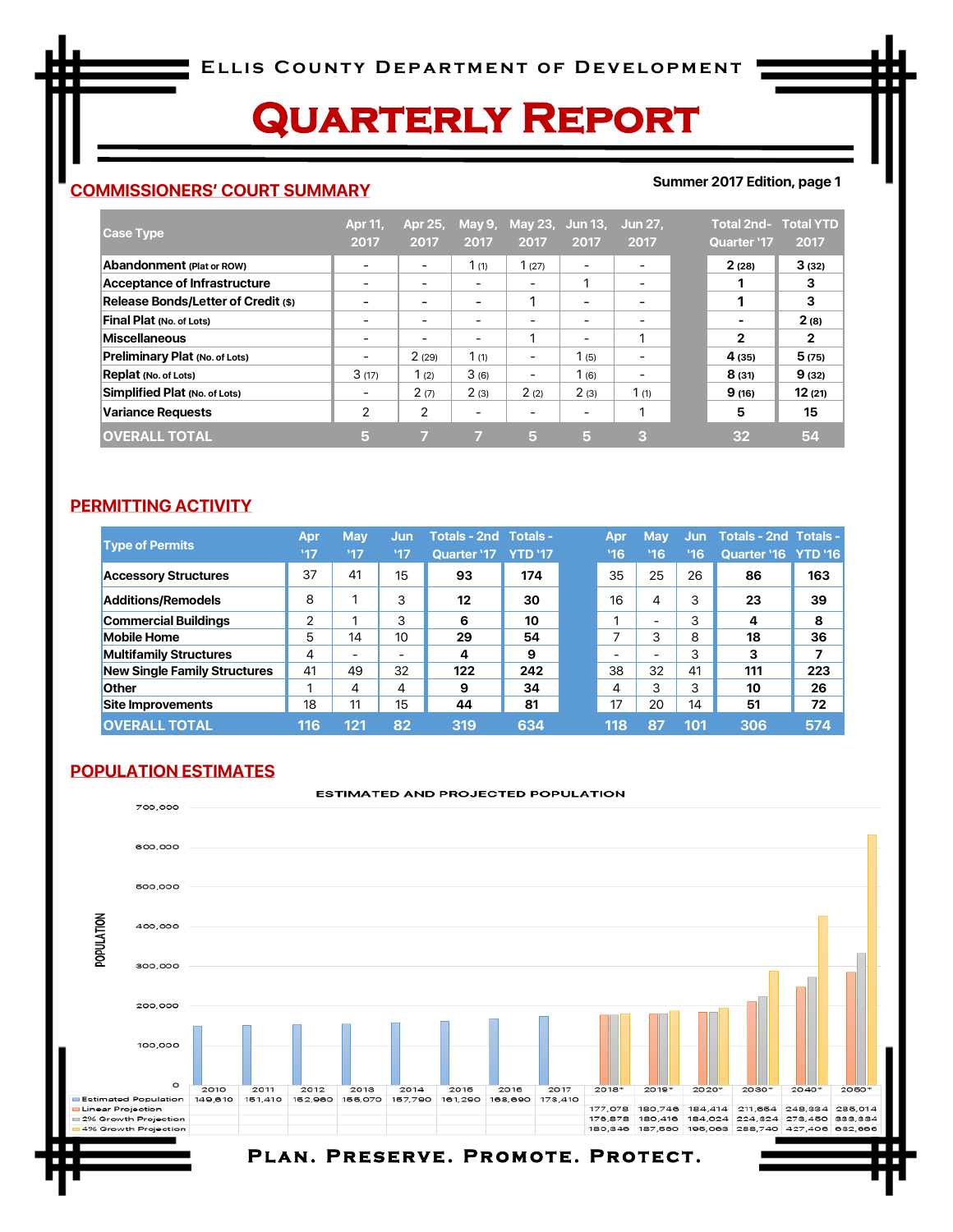# **Quarterly Report**

### **COMMISSIONERS' COURT SUMMARY**

#### **Summer 2017 Edition, page 1**

| <b>Case Type</b>                      | Apr 11,<br>2017 | Apr 25,<br>2017          | May 9,<br>2017 | May 23,<br>2017              | <b>Jun 13,</b><br>2017 | Jun 27.<br>2017          | <b>Total 2nd-</b><br><b>Quarter '17</b> | <b>Total YTD</b><br>2017 |
|---------------------------------------|-----------------|--------------------------|----------------|------------------------------|------------------------|--------------------------|-----------------------------------------|--------------------------|
| Abandonment (Plat or ROW)             |                 | $\overline{\phantom{0}}$ | 1 $(1)$        | 1(27)                        | -                      | -                        | 2(28)                                   | 3(32)                    |
| Acceptance of Infrastructure          |                 | $\overline{\phantom{0}}$ |                | $\qquad \qquad \blacksquare$ |                        | $\overline{\phantom{a}}$ |                                         | 3                        |
| Release Bonds/Letter of Credit (\$)   |                 | $\overline{\phantom{0}}$ |                | 1                            | -                      | $\overline{\phantom{0}}$ |                                         | 3                        |
| Final Plat (No. of Lots)              |                 |                          |                | ۰                            |                        |                          | $\overline{\phantom{0}}$                | 2(8)                     |
| Miscellaneous                         |                 | $\overline{\phantom{0}}$ |                | 1                            | -                      | 1                        | $\mathbf{2}$                            | $\mathbf{2}$             |
| <b>Preliminary Plat (No. of Lots)</b> | -               | 2(29)                    | 1(1)           | $\qquad \qquad \blacksquare$ | 1(5)                   | $\overline{\phantom{0}}$ | 4 (35)                                  | 5(75)                    |
| Replat (No. of Lots)                  | 3(17)           | 1(2)                     | 3(6)           | $\qquad \qquad \blacksquare$ | 1 (6)                  | $\overline{\phantom{a}}$ | 8(31)                                   | 9(32)                    |
| Simplified Plat (No. of Lots)         | $\qquad \qquad$ | 2(7)                     | 2(3)           | 2(2)                         | 2(3)                   | 1(1)                     | 9(16)                                   | 12(21)                   |
| Variance Requests                     | 2               | 2                        | -              | -                            |                        |                          | 5                                       | 15                       |
| <b>OVERALL TOTAL</b>                  | 5               | f,                       |                | 5                            | 5                      | з                        | 32                                      | 54                       |

#### **PERMITTING ACTIVITY**

|                                     | <b>Apr</b> | May                      | Jun | <b>Totals - 2nd Totals -</b> |                | Apr | <b>May</b>                   | Jun | <b>Totals - 2nd Totals -</b> |     |
|-------------------------------------|------------|--------------------------|-----|------------------------------|----------------|-----|------------------------------|-----|------------------------------|-----|
| <b>Type of Permits</b>              | '17        | '17                      | '17 | <b>Quarter '17</b>           | <b>YTD '17</b> | '16 | 16                           | '16 | Quarter '16 YTD '16          |     |
| <b>Accessory Structures</b>         | 37         | 41                       | 15  | 93                           | 174            | 35  | 25                           | 26  | 86                           | 163 |
| <b>Additions/Remodels</b>           | 8          | $\overline{\phantom{a}}$ | 3   | 12                           | 30             | 16  | 4                            | 3   | 23                           | 39  |
| <b>Commercial Buildings</b>         | ⌒          | $\overline{\phantom{a}}$ | 3   | 6                            | 10             |     | $\qquad \qquad \blacksquare$ | 3   | 4                            | 8   |
| <b>Mobile Home</b>                  | 5          | 14                       | 10  | 29                           | 54             |     | 3                            | 8   | 18                           | 36  |
| <b>Multifamily Structures</b>       | 4          | $\overline{\phantom{0}}$ | -   | 4                            | 9              | -   | -                            | 3   | 3                            |     |
| <b>New Single Family Structures</b> | 41         | 49                       | 32  | 122                          | 242            | 38  | 32                           | 41  | 111                          | 223 |
| <b>Other</b>                        | л          | 4                        | 4   | 9                            | 34             | 4   | 3                            | 3   | 10                           | 26  |
| Site Improvements                   | 18         | 11                       | 15  | 44                           | 81             | 17  | 20                           | 14  | 51                           | 72  |
| <b>OVERALL TOTAL</b>                | 116        | 121                      | 82  | 319                          | 634            | 118 | 87                           | 101 | 306                          | 574 |

### **POPULATION ESTIMATES**